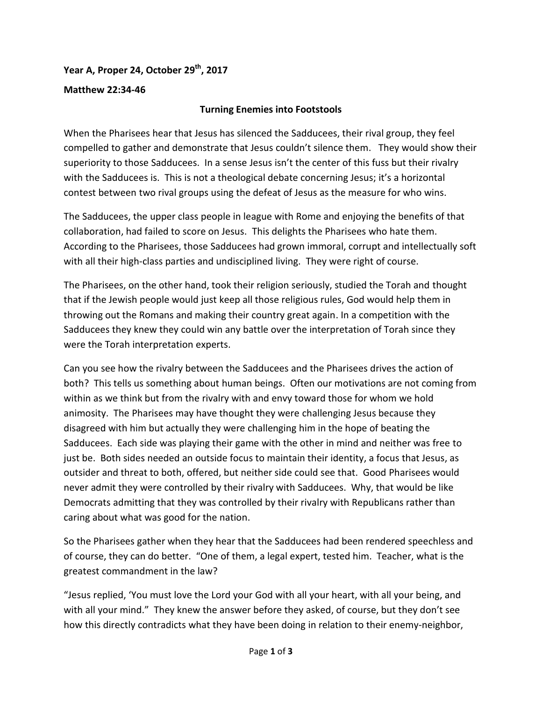## **Year A, Proper 24, October 29 th, 2017**

## **Matthew 22:34-46**

## **Turning Enemies into Footstools**

When the Pharisees hear that Jesus has silenced the Sadducees, their rival group, they feel compelled to gather and demonstrate that Jesus couldn't silence them. They would show their superiority to those Sadducees. In a sense Jesus isn't the center of this fuss but their rivalry with the Sadducees is. This is not a theological debate concerning Jesus; it's a horizontal contest between two rival groups using the defeat of Jesus as the measure for who wins.

The Sadducees, the upper class people in league with Rome and enjoying the benefits of that collaboration, had failed to score on Jesus. This delights the Pharisees who hate them. According to the Pharisees, those Sadducees had grown immoral, corrupt and intellectually soft with all their high-class parties and undisciplined living. They were right of course.

The Pharisees, on the other hand, took their religion seriously, studied the Torah and thought that if the Jewish people would just keep all those religious rules, God would help them in throwing out the Romans and making their country great again. In a competition with the Sadducees they knew they could win any battle over the interpretation of Torah since they were the Torah interpretation experts.

Can you see how the rivalry between the Sadducees and the Pharisees drives the action of both? This tells us something about human beings. Often our motivations are not coming from within as we think but from the rivalry with and envy toward those for whom we hold animosity. The Pharisees may have thought they were challenging Jesus because they disagreed with him but actually they were challenging him in the hope of beating the Sadducees. Each side was playing their game with the other in mind and neither was free to just be. Both sides needed an outside focus to maintain their identity, a focus that Jesus, as outsider and threat to both, offered, but neither side could see that. Good Pharisees would never admit they were controlled by their rivalry with Sadducees. Why, that would be like Democrats admitting that they was controlled by their rivalry with Republicans rather than caring about what was good for the nation.

So the Pharisees gather when they hear that the Sadducees had been rendered speechless and of course, they can do better. "One of them, a legal expert, tested him. Teacher, what is the greatest commandment in the law?

"Jesus replied, 'You must love the Lord your God with all your heart, with all your being, and with all your mind." They knew the answer before they asked, of course, but they don't see how this directly contradicts what they have been doing in relation to their enemy-neighbor,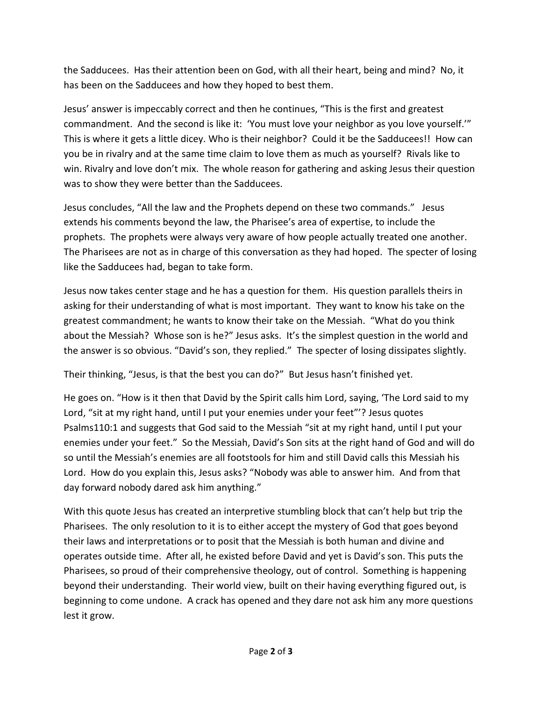the Sadducees. Has their attention been on God, with all their heart, being and mind? No, it has been on the Sadducees and how they hoped to best them.

Jesus' answer is impeccably correct and then he continues, "This is the first and greatest commandment. And the second is like it: 'You must love your neighbor as you love yourself.'" This is where it gets a little dicey. Who is their neighbor? Could it be the Sadducees!! How can you be in rivalry and at the same time claim to love them as much as yourself? Rivals like to win. Rivalry and love don't mix. The whole reason for gathering and asking Jesus their question was to show they were better than the Sadducees.

Jesus concludes, "All the law and the Prophets depend on these two commands." Jesus extends his comments beyond the law, the Pharisee's area of expertise, to include the prophets. The prophets were always very aware of how people actually treated one another. The Pharisees are not as in charge of this conversation as they had hoped. The specter of losing like the Sadducees had, began to take form.

Jesus now takes center stage and he has a question for them. His question parallels theirs in asking for their understanding of what is most important. They want to know his take on the greatest commandment; he wants to know their take on the Messiah. "What do you think about the Messiah? Whose son is he?" Jesus asks. It's the simplest question in the world and the answer is so obvious. "David's son, they replied." The specter of losing dissipates slightly.

Their thinking, "Jesus, is that the best you can do?" But Jesus hasn't finished yet.

He goes on. "How is it then that David by the Spirit calls him Lord, saying, 'The Lord said to my Lord, "sit at my right hand, until I put your enemies under your feet"'? Jesus quotes Psalms110:1 and suggests that God said to the Messiah "sit at my right hand, until I put your enemies under your feet." So the Messiah, David's Son sits at the right hand of God and will do so until the Messiah's enemies are all footstools for him and still David calls this Messiah his Lord. How do you explain this, Jesus asks? "Nobody was able to answer him. And from that day forward nobody dared ask him anything."

With this quote Jesus has created an interpretive stumbling block that can't help but trip the Pharisees. The only resolution to it is to either accept the mystery of God that goes beyond their laws and interpretations or to posit that the Messiah is both human and divine and operates outside time. After all, he existed before David and yet is David's son. This puts the Pharisees, so proud of their comprehensive theology, out of control. Something is happening beyond their understanding. Their world view, built on their having everything figured out, is beginning to come undone. A crack has opened and they dare not ask him any more questions lest it grow.